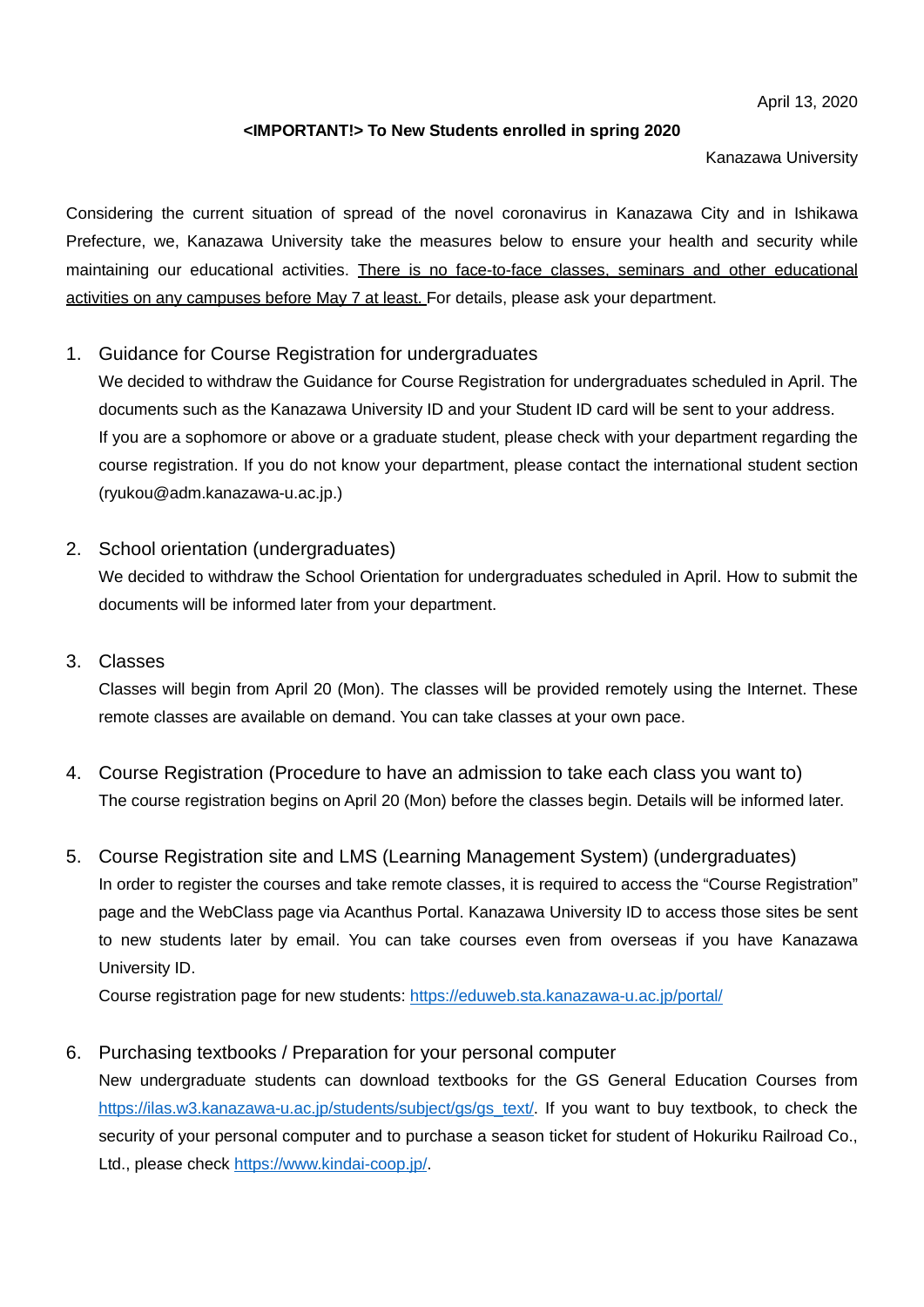April 13, 2020

## **<IMPORTANT!> To New Students enrolled in spring 2020**

Kanazawa University

Considering the current situation of spread of the novel coronavirus in Kanazawa City and in Ishikawa Prefecture, we, Kanazawa University take the measures below to ensure your health and security while maintaining our educational activities. There is no face-to-face classes, seminars and other educational activities on any campuses before May 7 at least. For details, please ask your department.

1. Guidance for Course Registration for undergraduates

We decided to withdraw the Guidance for Course Registration for undergraduates scheduled in April. The documents such as the Kanazawa University ID and your Student ID card will be sent to your address. If you are a sophomore or above or a graduate student, please check with your department regarding the course registration. If you do not know your department, please contact the international student section (ryukou@adm.kanazawa-u.ac.jp.)

2. School orientation (undergraduates)

We decided to withdraw the School Orientation for undergraduates scheduled in April. How to submit the documents will be informed later from your department.

3. Classes

Classes will begin from April 20 (Mon). The classes will be provided remotely using the Internet. These remote classes are available on demand. You can take classes at your own pace.

- 4. Course Registration (Procedure to have an admission to take each class you want to) The course registration begins on April 20 (Mon) before the classes begin. Details will be informed later.
- 5. Course Registration site and LMS (Learning Management System) (undergraduates) In order to register the courses and take remote classes, it is required to access the "Course Registration" page and the WebClass page via Acanthus Portal. Kanazawa University ID to access those sites be sent to new students later by email. You can take courses even from overseas if you have Kanazawa University ID.

Course registration page for new students:<https://eduweb.sta.kanazawa-u.ac.jp/portal/>

## 6. Purchasing textbooks / Preparation for your personal computer

New undergraduate students can download textbooks for the GS General Education Courses from [https://ilas.w3.kanazawa-u.ac.jp/students/subject/gs/gs\\_text/.](https://ilas.w3.kanazawa-u.ac.jp/students/subject/gs/gs_text/) If you want to buy textbook, to check the security of your personal computer and to purchase a season ticket for student of Hokuriku Railroad Co., Ltd., please check [https://www.kindai-coop.jp/.](https://www.kindai-coop.jp/)